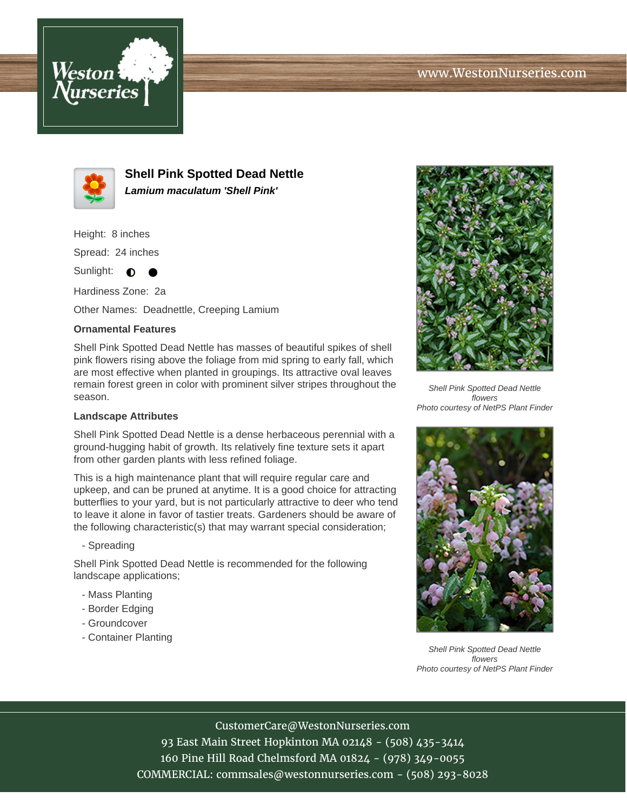



**Shell Pink Spotted Dead Nettle Lamium maculatum 'Shell Pink'**

Height: 8 inches

Spread: 24 inches

Sunlight:  $\bullet$  $\bullet$ 

Hardiness Zone: 2a

Other Names: Deadnettle, Creeping Lamium

## **Ornamental Features**

Shell Pink Spotted Dead Nettle has masses of beautiful spikes of shell pink flowers rising above the foliage from mid spring to early fall, which are most effective when planted in groupings. Its attractive oval leaves remain forest green in color with prominent silver stripes throughout the season.

## **Landscape Attributes**

Shell Pink Spotted Dead Nettle is a dense herbaceous perennial with a ground-hugging habit of growth. Its relatively fine texture sets it apart from other garden plants with less refined foliage.

This is a high maintenance plant that will require regular care and upkeep, and can be pruned at anytime. It is a good choice for attracting butterflies to your yard, but is not particularly attractive to deer who tend to leave it alone in favor of tastier treats. Gardeners should be aware of the following characteristic(s) that may warrant special consideration;

- Spreading

Shell Pink Spotted Dead Nettle is recommended for the following landscape applications;

- Mass Planting
- Border Edging
- Groundcover
- Container Planting



Shell Pink Spotted Dead Nettle flowers Photo courtesy of NetPS Plant Finder



Shell Pink Spotted Dead Nettle flowers Photo courtesy of NetPS Plant Finder

CustomerCare@WestonNurseries.com

93 East Main Street Hopkinton MA 02148 - (508) 435-3414 160 Pine Hill Road Chelmsford MA 01824 - (978) 349-0055 COMMERCIAL: commsales@westonnurseries.com - (508) 293-8028